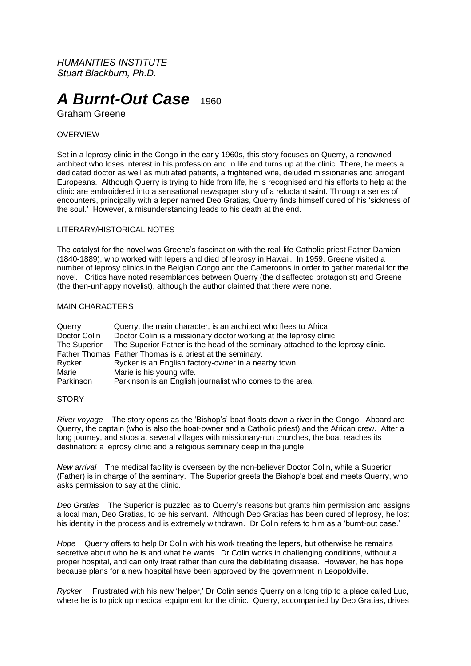*HUMANITIES INSTITUTE Stuart Blackburn, Ph.D.*

# **A Burnt-Out Case** 1960

Graham Greene

## **OVERVIEW**

Set in a leprosy clinic in the Congo in the early 1960s, this story focuses on Querry, a renowned architect who loses interest in his profession and in life and turns up at the clinic. There, he meets a dedicated doctor as well as mutilated patients, a frightened wife, deluded missionaries and arrogant Europeans. Although Querry is trying to hide from life, he is recognised and his efforts to help at the clinic are embroidered into a sensational newspaper story of a reluctant saint. Through a series of encounters, principally with a leper named Deo Gratias, Querry finds himself cured of his 'sickness of the soul.' However, a misunderstanding leads to his death at the end.

### LITERARY/HISTORICAL NOTES

The catalyst for the novel was Greene's fascination with the real-life Catholic priest Father Damien (1840-1889), who worked with lepers and died of leprosy in Hawaii. In 1959, Greene visited a number of leprosy clinics in the Belgian Congo and the Cameroons in order to gather material for the novel. Critics have noted resemblances between Querry (the disaffected protagonist) and Greene (the then-unhappy novelist), although the author claimed that there were none.

#### MAIN CHARACTERS

| Querry       | Querry, the main character, is an architect who flees to Africa.                |
|--------------|---------------------------------------------------------------------------------|
| Doctor Colin | Doctor Colin is a missionary doctor working at the leprosy clinic.              |
| The Superior | The Superior Father is the head of the seminary attached to the leprosy clinic. |
|              | Father Thomas Father Thomas is a priest at the seminary.                        |
| Rycker       | Rycker is an English factory-owner in a nearby town.                            |
| Marie        | Marie is his young wife.                                                        |
| Parkinson    | Parkinson is an English journalist who comes to the area.                       |

#### **STORY**

*River voyage* The story opens as the 'Bishop's' boat floats down a river in the Congo. Aboard are Querry, the captain (who is also the boat-owner and a Catholic priest) and the African crew. After a long journey, and stops at several villages with missionary-run churches, the boat reaches its destination: a leprosy clinic and a religious seminary deep in the jungle.

*New arrival* The medical facility is overseen by the non-believer Doctor Colin, while a Superior (Father) is in charge of the seminary. The Superior greets the Bishop's boat and meets Querry, who asks permission to say at the clinic.

*Deo Gratias* The Superior is puzzled as to Querry's reasons but grants him permission and assigns a local man, Deo Gratias, to be his servant. Although Deo Gratias has been cured of leprosy, he lost his identity in the process and is extremely withdrawn. Dr Colin refers to him as a 'burnt-out case.'

*Hope* Querry offers to help Dr Colin with his work treating the lepers, but otherwise he remains secretive about who he is and what he wants. Dr Colin works in challenging conditions, without a proper hospital, and can only treat rather than cure the debilitating disease. However, he has hope because plans for a new hospital have been approved by the government in Leopoldville.

*Rycker* Frustrated with his new 'helper,' Dr Colin sends Querry on a long trip to a place called Luc, where he is to pick up medical equipment for the clinic. Querry, accompanied by Deo Gratias, drives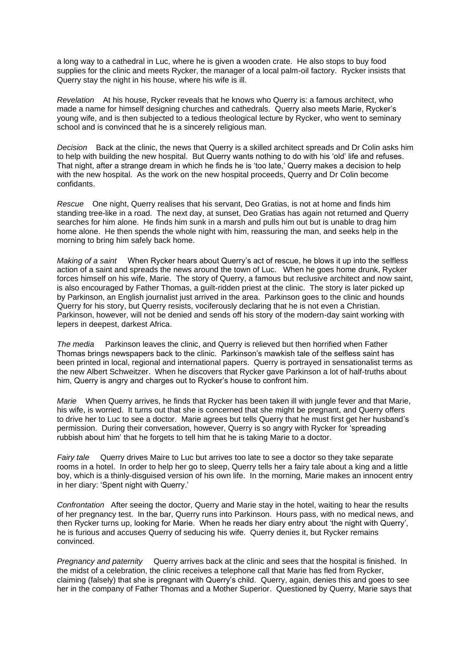a long way to a cathedral in Luc, where he is given a wooden crate. He also stops to buy food supplies for the clinic and meets Rycker, the manager of a local palm-oil factory. Rycker insists that Querry stay the night in his house, where his wife is ill.

*Revelation* At his house, Rycker reveals that he knows who Querry is: a famous architect, who made a name for himself designing churches and cathedrals. Querry also meets Marie, Rycker's young wife, and is then subjected to a tedious theological lecture by Rycker, who went to seminary school and is convinced that he is a sincerely religious man.

*Decision* Back at the clinic, the news that Querry is a skilled architect spreads and Dr Colin asks him to help with building the new hospital. But Querry wants nothing to do with his 'old' life and refuses. That night, after a strange dream in which he finds he is 'too late,' Querry makes a decision to help with the new hospital. As the work on the new hospital proceeds, Querry and Dr Colin become confidants.

*Rescue* One night, Querry realises that his servant, Deo Gratias, is not at home and finds him standing tree-like in a road. The next day, at sunset, Deo Gratias has again not returned and Querry searches for him alone. He finds him sunk in a marsh and pulls him out but is unable to drag him home alone. He then spends the whole night with him, reassuring the man, and seeks help in the morning to bring him safely back home.

*Making of a saint* When Rycker hears about Querry's act of rescue, he blows it up into the selfless action of a saint and spreads the news around the town of Luc. When he goes home drunk, Rycker forces himself on his wife, Marie. The story of Querry, a famous but reclusive architect and now saint, is also encouraged by Father Thomas, a guilt-ridden priest at the clinic. The story is later picked up by Parkinson, an English journalist just arrived in the area. Parkinson goes to the clinic and hounds Querry for his story, but Querry resists, vociferously declaring that he is not even a Christian. Parkinson, however, will not be denied and sends off his story of the modern-day saint working with lepers in deepest, darkest Africa.

*The media* Parkinson leaves the clinic, and Querry is relieved but then horrified when Father Thomas brings newspapers back to the clinic. Parkinson's mawkish tale of the selfless saint has been printed in local, regional and international papers. Querry is portrayed in sensationalist terms as the new Albert Schweitzer. When he discovers that Rycker gave Parkinson a lot of half-truths about him, Querry is angry and charges out to Rycker's house to confront him.

*Marie* When Querry arrives, he finds that Rycker has been taken ill with jungle fever and that Marie, his wife, is worried. It turns out that she is concerned that she might be pregnant, and Querry offers to drive her to Luc to see a doctor. Marie agrees but tells Querry that he must first get her husband's permission. During their conversation, however, Querry is so angry with Rycker for 'spreading rubbish about him' that he forgets to tell him that he is taking Marie to a doctor.

*Fairy tale* Querry drives Maire to Luc but arrives too late to see a doctor so they take separate rooms in a hotel. In order to help her go to sleep, Querry tells her a fairy tale about a king and a little boy, which is a thinly-disguised version of his own life. In the morning, Marie makes an innocent entry in her diary: 'Spent night with Querry.'

*Confrontation* After seeing the doctor, Querry and Marie stay in the hotel, waiting to hear the results of her pregnancy test. In the bar, Querry runs into Parkinson. Hours pass, with no medical news, and then Rycker turns up, looking for Marie. When he reads her diary entry about 'the night with Querry', he is furious and accuses Querry of seducing his wife. Querry denies it, but Rycker remains convinced.

*Pregnancy and paternity* Querry arrives back at the clinic and sees that the hospital is finished. In the midst of a celebration, the clinic receives a telephone call that Marie has fled from Rycker, claiming (falsely) that she is pregnant with Querry's child. Querry, again, denies this and goes to see her in the company of Father Thomas and a Mother Superior. Questioned by Querry, Marie says that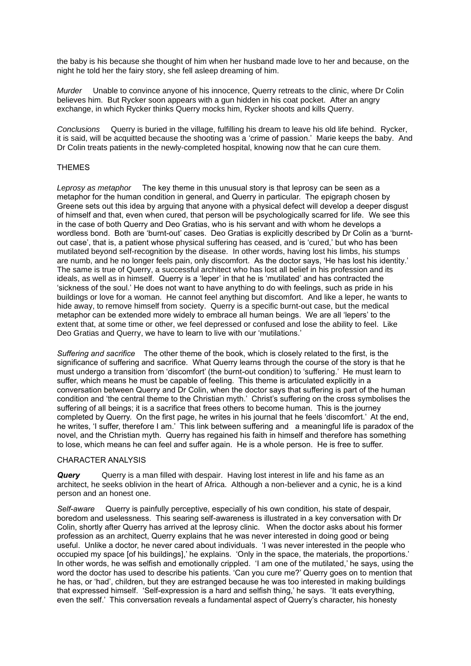the baby is his because she thought of him when her husband made love to her and because, on the night he told her the fairy story, she fell asleep dreaming of him.

*Murder* Unable to convince anyone of his innocence, Querry retreats to the clinic, where Dr Colin believes him. But Rycker soon appears with a gun hidden in his coat pocket. After an angry exchange, in which Rycker thinks Querry mocks him, Rycker shoots and kills Querry.

*Conclusions* Querry is buried in the village, fulfilling his dream to leave his old life behind. Rycker, it is said, will be acquitted because the shooting was a 'crime of passion.' Marie keeps the baby. And Dr Colin treats patients in the newly-completed hospital, knowing now that he can cure them.

## THEMES

*Leprosy as metaphor* The key theme in this unusual story is that leprosy can be seen as a metaphor for the human condition in general, and Querry in particular. The epigraph chosen by Greene sets out this idea by arguing that anyone with a physical defect will develop a deeper disgust of himself and that, even when cured, that person will be psychologically scarred for life. We see this in the case of both Querry and Deo Gratias, who is his servant and with whom he develops a wordless bond. Both are 'burnt-out' cases. Deo Gratias is explicitly described by Dr Colin as a 'burntout case', that is, a patient whose physical suffering has ceased, and is 'cured,' but who has been mutilated beyond self-recognition by the disease. In other words, having lost his limbs, his stumps are numb, and he no longer feels pain, only discomfort. As the doctor says, 'He has lost his identity.' The same is true of Querry, a successful architect who has lost all belief in his profession and its ideals, as well as in himself. Querry is a 'leper' in that he is 'mutilated' and has contracted the 'sickness of the soul.' He does not want to have anything to do with feelings, such as pride in his buildings or love for a woman. He cannot feel anything but discomfort. And like a leper, he wants to hide away, to remove himself from society. Querry is a specific burnt-out case, but the medical metaphor can be extended more widely to embrace all human beings. We are all 'lepers' to the extent that, at some time or other, we feel depressed or confused and lose the ability to feel. Like Deo Gratias and Querry, we have to learn to live with our 'mutilations.'

*Suffering and sacrifice* The other theme of the book, which is closely related to the first, is the significance of suffering and sacrifice. What Querry learns through the course of the story is that he must undergo a transition from 'discomfort' (the burnt-out condition) to 'suffering.' He must learn to suffer, which means he must be capable of feeling. This theme is articulated explicitly in a conversation between Querry and Dr Colin, when the doctor says that suffering is part of the human condition and 'the central theme to the Christian myth.' Christ's suffering on the cross symbolises the suffering of all beings; it is a sacrifice that frees others to become human. This is the journey completed by Querry. On the first page, he writes in his journal that he feels 'discomfort.' At the end, he writes, 'I suffer, therefore I am.' This link between suffering and a meaningful life is paradox of the novel, and the Christian myth. Querry has regained his faith in himself and therefore has something to lose, which means he can feel and suffer again. He is a whole person. He is free to suffer.

#### CHARACTER ANALYSIS

**Query** Querry is a man filled with despair. Having lost interest in life and his fame as an architect, he seeks oblivion in the heart of Africa. Although a non-believer and a cynic, he is a kind person and an honest one.

Self-aware Cuerry is painfully perceptive, especially of his own condition, his state of despair, boredom and uselessness. This searing self-awareness is illustrated in a key conversation with Dr Colin, shortly after Querry has arrived at the leprosy clinic. When the doctor asks about his former profession as an architect, Querry explains that he was never interested in doing good or being useful. Unlike a doctor, he never cared about individuals. 'I was never interested in the people who occupied my space [of his buildings],' he explains. 'Only in the space, the materials, the proportions.' In other words, he was selfish and emotionally crippled. 'I am one of the mutilated,' he says, using the word the doctor has used to describe his patients. 'Can you cure me?' Querry goes on to mention that he has, or 'had', children, but they are estranged because he was too interested in making buildings that expressed himself. 'Self-expression is a hard and selfish thing,' he says. 'It eats everything, even the self.' This conversation reveals a fundamental aspect of Querry's character, his honesty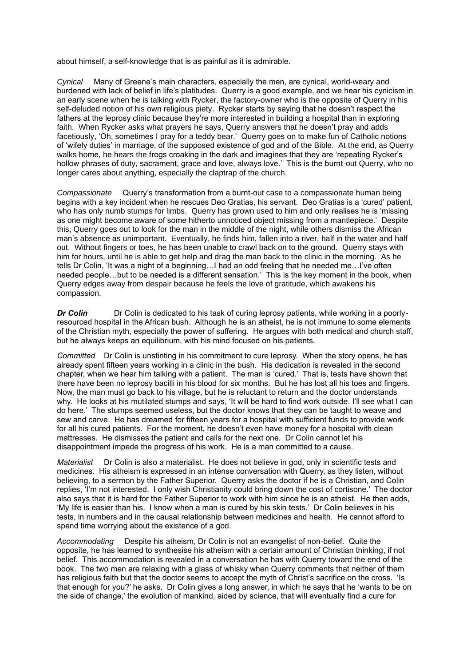about himself, a self-knowledge that is as painful as it is admirable.

*Cynical* Many of Greene's main characters, especially the men, are cynical, world-weary and burdened with lack of belief in life's platitudes. Querry is a good example, and we hear his cynicism in an early scene when he is talking with Rycker, the factory-owner who is the opposite of Querry in his self-deluded notion of his own religious piety. Rycker starts by saying that he doesn't respect the fathers at the leprosy clinic because they're more interested in building a hospital than in exploring faith. When Rycker asks what prayers he says, Querry answers that he doesn't pray and adds facetiously, 'Oh, sometimes I pray for a teddy bear.' Querry goes on to make fun of Catholic notions of 'wifely duties' in marriage, of the supposed existence of god and of the Bible. At the end, as Querry walks home, he hears the frogs croaking in the dark and imagines that they are 'repeating Rycker's hollow phrases of duty, sacrament, grace and love, always love.' This is the burnt-out Querry, who no longer cares about anything, especially the claptrap of the church.

*Compassionate* Querry's transformation from a burnt-out case to a compassionate human being begins with a key incident when he rescues Deo Gratias, his servant. Deo Gratias is a 'cured' patient, who has only numb stumps for limbs. Querry has grown used to him and only realises he is 'missing as one might become aware of some hitherto unnoticed object missing from a mantlepiece.' Despite this, Querry goes out to look for the man in the middle of the night, while others dismiss the African man's absence as unimportant. Eventually, he finds him, fallen into a river, half in the water and half out. Without fingers or toes, he has been unable to crawl back on to the ground. Querry stays with him for hours, until he is able to get help and drag the man back to the clinic in the morning. As he tells Dr Colin, 'It was a night of a beginning…I had an odd feeling that he needed me…I've often needed people…but to be needed is a different sensation.' This is the key moment in the book, when Querry edges away from despair because he feels the love of gratitude, which awakens his compassion.

**Dr Colin** Dr Colin is dedicated to his task of curing leprosy patients, while working in a poorlyresourced hospital in the African bush. Although he is an atheist, he is not immune to some elements of the Christian myth, especially the power of suffering. He argues with both medical and church staff, but he always keeps an equilibrium, with his mind focused on his patients.

*Committed* Dr Colin is unstinting in his commitment to cure leprosy. When the story opens, he has already spent fifteen years working in a clinic in the bush. His dedication is revealed in the second chapter, when we hear him talking with a patient. The man is 'cured.' That is, tests have shown that there have been no leprosy bacilli in his blood for six months. But he has lost all his toes and fingers. Now, the man must go back to his village, but he is reluctant to return and the doctor understands why. He looks at his mutilated stumps and says, 'It will be hard to find work outside. I'll see what I can do here.' The stumps seemed useless, but the doctor knows that they can be taught to weave and sew and carve. He has dreamed for fifteen years for a hospital with sufficient funds to provide work for all his cured patients. For the moment, he doesn't even have money for a hospital with clean mattresses. He dismisses the patient and calls for the next one. Dr Colin cannot let his disappointment impede the progress of his work. He is a man committed to a cause.

*Materialist* Dr Colin is also a materialist. He does not believe in god, only in scientific tests and medicines. His atheism is expressed in an intense conversation with Querry, as they listen, without believing, to a sermon by the Father Superior. Querry asks the doctor if he is a Christian, and Colin replies, 'I'm not interested. I only wish Christianity could bring down the cost of cortisone.' The doctor also says that it is hard for the Father Superior to work with him since he is an atheist. He then adds, 'My life is easier than his. I know when a man is cured by his skin tests.' Dr Colin believes in his tests, in numbers and in the causal relationship between medicines and health. He cannot afford to spend time worrying about the existence of a god.

*Accommodating* Despite his atheism, Dr Colin is not an evangelist of non-belief. Quite the opposite, he has learned to synthesise his atheism with a certain amount of Christian thinking, if not belief. This accommodation is revealed in a conversation he has with Querry toward the end of the book. The two men are relaxing with a glass of whisky when Querry comments that neither of them has religious faith but that the doctor seems to accept the myth of Christ's sacrifice on the cross. 'Is that enough for you?' he asks. Dr Colin gives a long answer, in which he says that he 'wants to be on the side of change,' the evolution of mankind, aided by science, that will eventually find a cure for